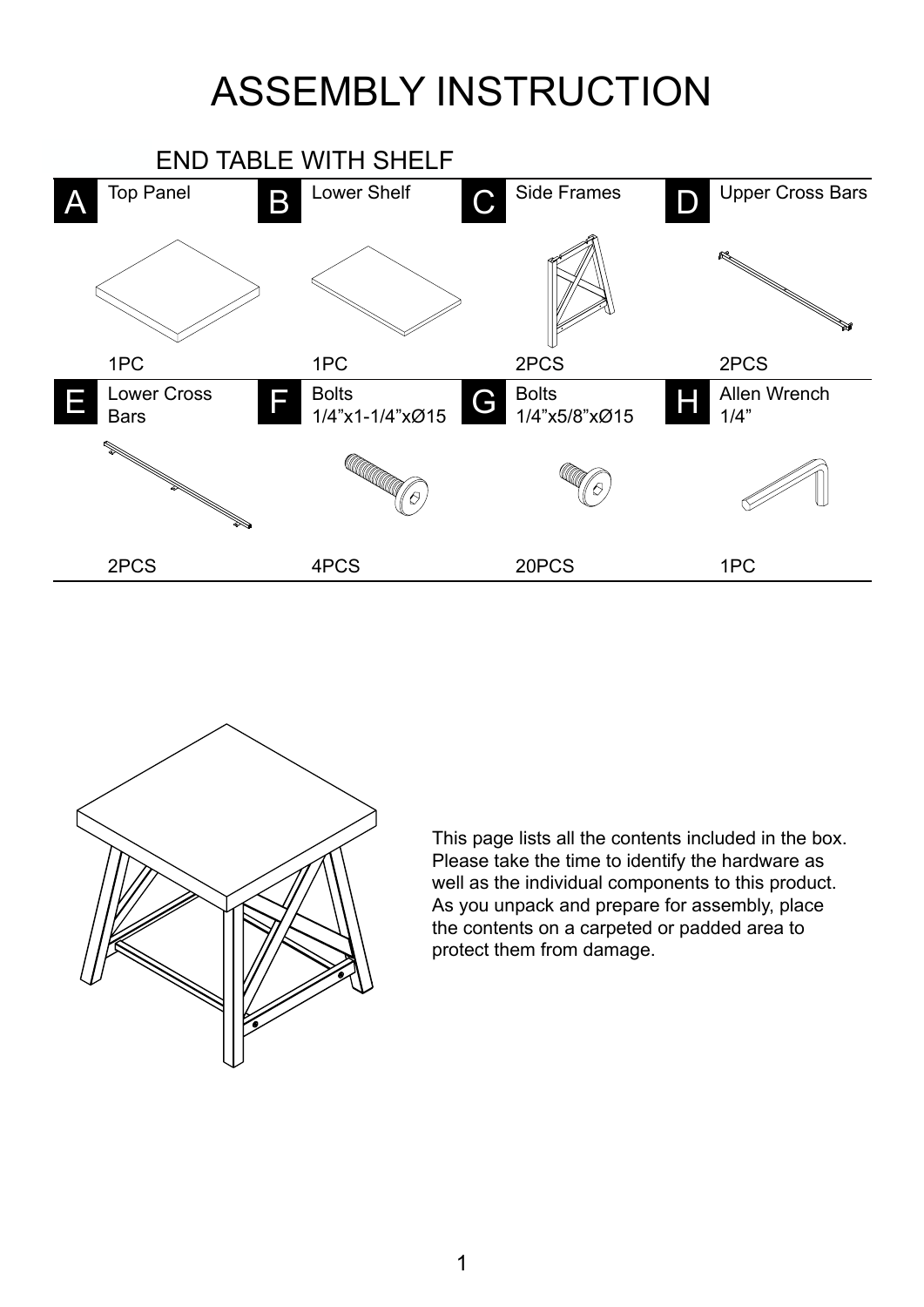## ASSEMBLY INSTRUCTION





This page lists all the contents included in the box. Please take the time to identify the hardware as well as the individual components to this product. As you unpack and prepare for assembly, place the contents on a carpeted or padded area to protect them from damage.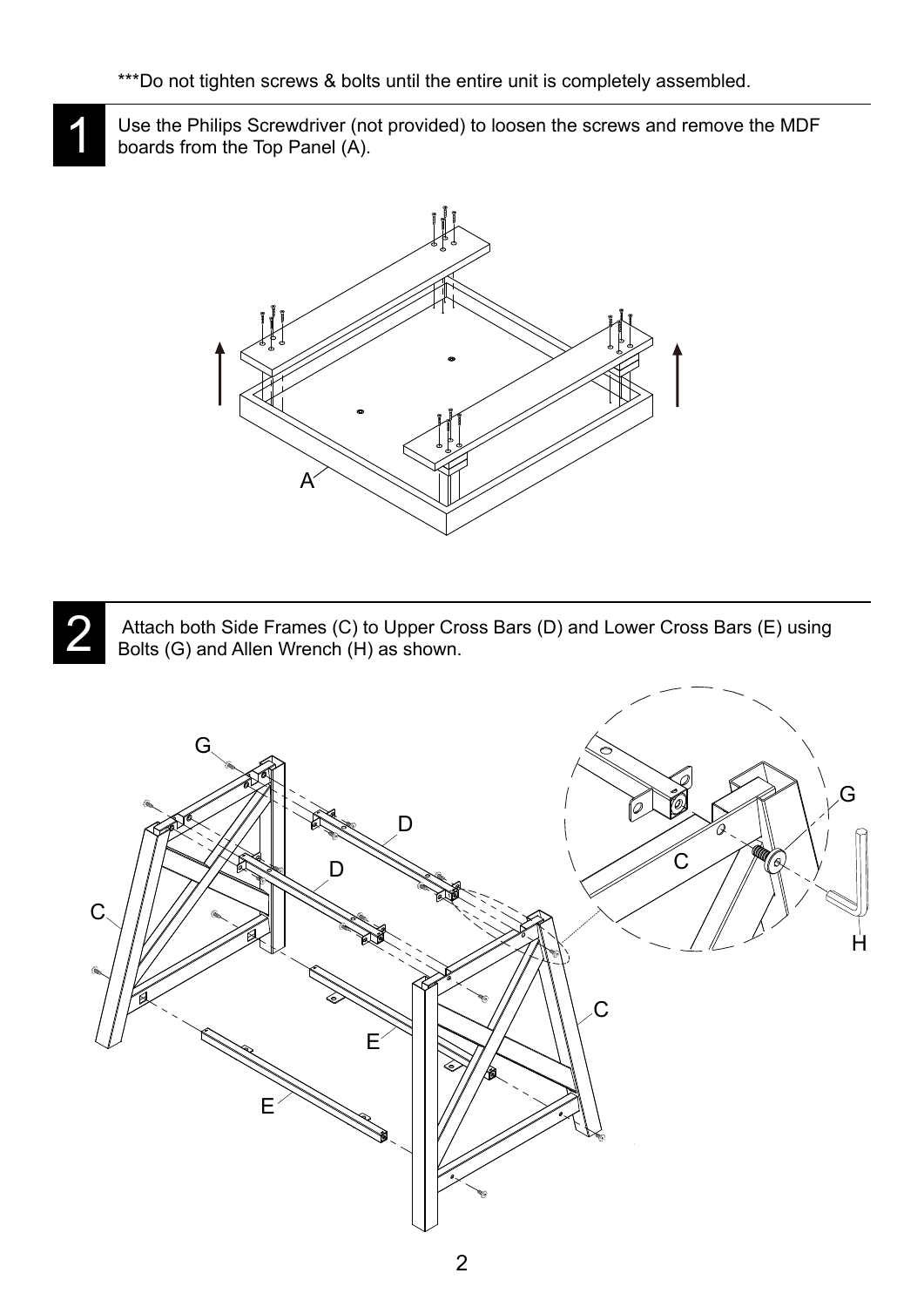1

Use the Philips Screwdriver (not provided) to loosen the screws and remove the MDF boards from the Top Panel (A).



 Attach both Side Frames (C) to Upper Cross Bars (D) and Lower Cross Bars (E) using Bolts (G) and Allen Wrench (H) as shown. 2